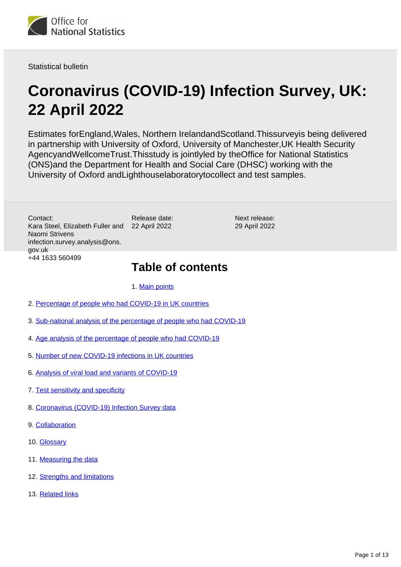

Statistical bulletin

# **Coronavirus (COVID-19) Infection Survey, UK: 22 April 2022**

Estimates forEngland,Wales, Northern IrelandandScotland.Thissurveyis being delivered in partnership with University of Oxford, University of Manchester,UK Health Security AgencyandWellcomeTrust.Thisstudy is jointlyled by theOffice for National Statistics (ONS)and the Department for Health and Social Care (DHSC) working with the University of Oxford andLighthouselaboratorytocollect and test samples.

> Next release: 29 April 2022

Contact: Kara Steel, Elizabeth Fuller and Naomi Strivens infection.survey.analysis@ons. gov.uk +44 1633 560499

## **Table of contents**

1. [Main points](#page-1-0)

Release date: 22 April 2022

- 2. [Percentage of people who had COVID-19 in UK countries](#page-3-0)
- 3. [Sub-national analysis of the percentage of people who had COVID-19](#page-4-0)
- 4. [Age analysis of the percentage of people who had COVID-19](#page-5-0)
- 5. [Number of new COVID-19 infections in UK countries](#page-6-0)
- 6. [Analysis of viral load and variants of COVID-19](#page-7-0)
- 7. [Test sensitivity and specificity](#page-8-0)
- 8. [Coronavirus \(COVID-19\) Infection Survey data](#page-9-0)
- 9. [Collaboration](#page-9-1)
- 10. [Glossary](#page-10-0)
- 11. [Measuring the data](#page-11-0)
- 12. [Strengths and limitations](#page-11-1)
- 13. [Related links](#page-12-0)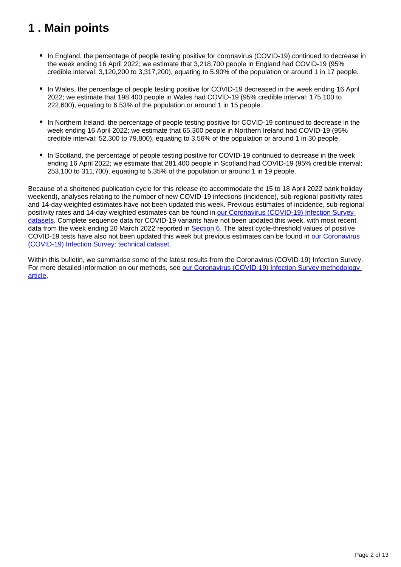## <span id="page-1-0"></span>**1 . Main points**

- In England, the percentage of people testing positive for coronavirus (COVID-19) continued to decrease in the week ending 16 April 2022; we estimate that 3,218,700 people in England had COVID-19 (95% credible interval: 3,120,200 to 3,317,200), equating to 5.90% of the population or around 1 in 17 people.
- In Wales, the percentage of people testing positive for COVID-19 decreased in the week ending 16 April 2022; we estimate that 198,400 people in Wales had COVID-19 (95% credible interval: 175,100 to 222,600), equating to 6.53% of the population or around 1 in 15 people.
- In Northern Ireland, the percentage of people testing positive for COVID-19 continued to decrease in the week ending 16 April 2022; we estimate that 65,300 people in Northern Ireland had COVID-19 (95% credible interval: 52,300 to 79,800), equating to 3.56% of the population or around 1 in 30 people.
- In Scotland, the percentage of people testing positive for COVID-19 continued to decrease in the week ending 16 April 2022; we estimate that 281,400 people in Scotland had COVID-19 (95% credible interval: 253,100 to 311,700), equating to 5.35% of the population or around 1 in 19 people.

Because of a shortened publication cycle for this release (to accommodate the 15 to 18 April 2022 bank holiday weekend), analyses relating to the number of new COVID-19 infections (incidence), sub-regional positivity rates and 14-day weighted estimates have not been updated this week. Previous estimates of incidence, sub-regional positivity rates and 14-day weighted estimates can be found in our Coronavirus (COVID-19) Infection Survey [datasets.](https://www.ons.gov.uk/peoplepopulationandcommunity/healthandsocialcare/conditionsanddiseases/bulletins/coronaviruscovid19infectionsurveypilot/22april2022/relateddata) Complete sequence data for COVID-19 variants have not been updated this week, with most recent data from the week ending 20 March 2022 reported in [Section 6.](https://www.ons.gov.uk/peoplepopulationandcommunity/healthandsocialcare/conditionsanddiseases/bulletins/coronaviruscovid19infectionsurveypilot/22april2022#analysis-of-viral-load-and-variants-of-covid-19) The latest cycle-threshold values of positive COVID-19 tests have also not been updated this week but previous estimates can be found in [our Coronavirus](https://www.ons.gov.uk/peoplepopulationandcommunity/healthandsocialcare/conditionsanddiseases/datasets/covid19infectionsurveytechnicaldata)  [\(COVID-19\) Infection Survey: technical dataset.](https://www.ons.gov.uk/peoplepopulationandcommunity/healthandsocialcare/conditionsanddiseases/datasets/covid19infectionsurveytechnicaldata)

Within this bulletin, we summarise some of the latest results from the Coronavirus (COVID-19) Infection Survey. For more detailed information on our methods, see our Coronavirus (COVID-19) Infection Survey methodology [article.](https://www.ons.gov.uk/peoplepopulationandcommunity/healthandsocialcare/conditionsanddiseases/methodologies/covid19infectionsurveypilotmethodsandfurtherinformation)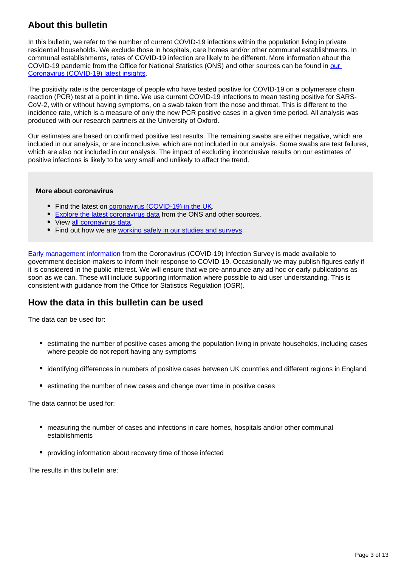## **About this bulletin**

In this bulletin, we refer to the number of current COVID-19 infections within the population living in private residential households. We exclude those in hospitals, care homes and/or other communal establishments. In communal establishments, rates of COVID-19 infection are likely to be different. More information about the COVID-19 pandemic from the Office for National Statistics (ONS) and other sources can be found in [our](https://www.ons.gov.uk/peoplepopulationandcommunity/healthandsocialcare/conditionsanddiseases/articles/coronaviruscovid19/latestinsights)  [Coronavirus \(COVID-19\) latest insights](https://www.ons.gov.uk/peoplepopulationandcommunity/healthandsocialcare/conditionsanddiseases/articles/coronaviruscovid19/latestinsights).

The positivity rate is the percentage of people who have tested positive for COVID-19 on a polymerase chain reaction (PCR) test at a point in time. We use current COVID-19 infections to mean testing positive for SARS-CoV-2, with or without having symptoms, on a swab taken from the nose and throat. This is different to the incidence rate, which is a measure of only the new PCR positive cases in a given time period. All analysis was produced with our research partners at the University of Oxford.

Our estimates are based on confirmed positive test results. The remaining swabs are either negative, which are included in our analysis, or are inconclusive, which are not included in our analysis. Some swabs are test failures, which are also not included in our analysis. The impact of excluding inconclusive results on our estimates of positive infections is likely to be very small and unlikely to affect the trend.

#### **More about coronavirus**

- Find the latest on [coronavirus \(COVID-19\) in the UK.](https://www.ons.gov.uk/peoplepopulationandcommunity/healthandsocialcare/conditionsanddiseases)
- **[Explore the latest coronavirus data](https://www.ons.gov.uk/peoplepopulationandcommunity/healthandsocialcare/conditionsanddiseases/articles/coronaviruscovid19/latestinsights) from the ONS and other sources.**
- View [all coronavirus data](https://www.ons.gov.uk/peoplepopulationandcommunity/healthandsocialcare/conditionsanddiseases/datalist).
- Find out how we are [working safely in our studies and surveys.](https://www.ons.gov.uk/news/statementsandletters/ensuringyoursafetyduringcovid19)

[Early management information](https://www.ons.gov.uk/news/statementsandletters/provisionofearlymanagementinformationbytheonstoinformoperationaldecisionmakingforthepublicgoodduringthecoronaviruspandemic) from the Coronavirus (COVID-19) Infection Survey is made available to government decision-makers to inform their response to COVID-19. Occasionally we may publish figures early if it is considered in the public interest. We will ensure that we pre-announce any ad hoc or early publications as soon as we can. These will include supporting information where possible to aid user understanding. This is consistent with guidance from the Office for Statistics Regulation (OSR).

### **How the data in this bulletin can be used**

The data can be used for:

- estimating the number of positive cases among the population living in private households, including cases where people do not report having any symptoms
- identifying differences in numbers of positive cases between UK countries and different regions in England
- estimating the number of new cases and change over time in positive cases

The data cannot be used for:

- measuring the number of cases and infections in care homes, hospitals and/or other communal establishments
- providing information about recovery time of those infected

The results in this bulletin are: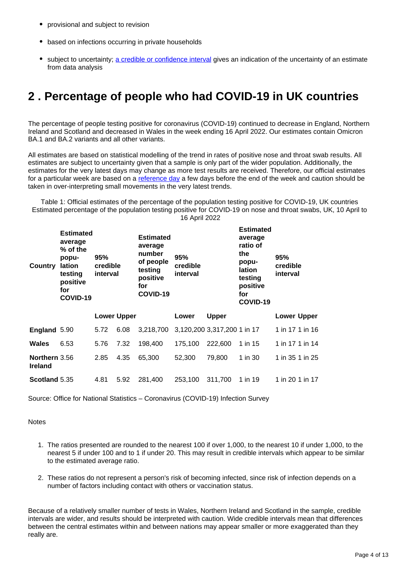- provisional and subject to revision
- based on infections occurring in private households
- subject to uncertainty; [a credible or confidence interval](https://www.ons.gov.uk/peoplepopulationandcommunity/healthandsocialcare/conditionsanddiseases/bulletins/coronaviruscovid19infectionsurveypilot/22april2022#glossary) gives an indication of the uncertainty of an estimate from data analysis

## <span id="page-3-0"></span>**2 . Percentage of people who had COVID-19 in UK countries**

The percentage of people testing positive for coronavirus (COVID-19) continued to decrease in England, Northern Ireland and Scotland and decreased in Wales in the week ending 16 April 2022. Our estimates contain Omicron BA.1 and BA.2 variants and all other variants.

All estimates are based on statistical modelling of the trend in rates of positive nose and throat swab results. All estimates are subject to uncertainty given that a sample is only part of the wider population. Additionally, the estimates for the very latest days may change as more test results are received. Therefore, our official estimates for a particular week are based on a [reference day](https://www.ons.gov.uk/peoplepopulationandcommunity/healthandsocialcare/conditionsanddiseases/bulletins/coronaviruscovid19infectionsurveypilot/22april2022#measuring-the-data) a few days before the end of the week and caution should be taken in over-interpreting small movements in the very latest trends.

Table 1: Official estimates of the percentage of the population testing positive for COVID-19, UK countries Estimated percentage of the population testing positive for COVID-19 on nose and throat swabs, UK, 10 April to 16 April 2022

| Country                         | <b>Estimated</b><br>average<br>% of the<br>popu-<br>lation<br>testing<br>positive<br>for<br>COVID-19 | 95%<br>credible<br>interval |                    | <b>Estimated</b><br>average<br>number<br>of people<br>testing<br>positive<br>for<br>COVID-19 | 95%<br>credible<br>interval |                             | <b>Estimated</b><br>average<br>ratio of<br>the<br>popu-<br>lation<br>testing<br>positive<br>for<br>COVID-19 | 95%<br>credible<br>interval |
|---------------------------------|------------------------------------------------------------------------------------------------------|-----------------------------|--------------------|----------------------------------------------------------------------------------------------|-----------------------------|-----------------------------|-------------------------------------------------------------------------------------------------------------|-----------------------------|
|                                 |                                                                                                      |                             | <b>Lower Upper</b> |                                                                                              | Lower                       | <b>Upper</b>                |                                                                                                             | <b>Lower Upper</b>          |
| England 5.90                    |                                                                                                      | 5.72                        | 6.08               | 3,218,700                                                                                    |                             | 3,120,200 3,317,200 1 in 17 |                                                                                                             | 1 in 17 1 in 16             |
| Wales                           | 6.53                                                                                                 | 5.76                        | 7.32               | 198,400                                                                                      | 175,100                     | 222,600                     | 1 in 15                                                                                                     | 1 in 17 1 in 14             |
| Northern 3.56<br><b>Ireland</b> |                                                                                                      | 2.85                        | 4.35               | 65,300                                                                                       | 52,300                      | 79,800                      | 1 in 30                                                                                                     | 1 in 35 1 in 25             |
| Scotland 5.35                   |                                                                                                      | 4.81                        | 5.92               | 281,400                                                                                      | 253,100                     | 311,700                     | 1 in 19                                                                                                     | 1 in 20 1 in 17             |

Source: Office for National Statistics – Coronavirus (COVID-19) Infection Survey

**Notes** 

- 1. The ratios presented are rounded to the nearest 100 if over 1,000, to the nearest 10 if under 1,000, to the nearest 5 if under 100 and to 1 if under 20. This may result in credible intervals which appear to be similar to the estimated average ratio.
- 2. These ratios do not represent a person's risk of becoming infected, since risk of infection depends on a number of factors including contact with others or vaccination status.

Because of a relatively smaller number of tests in Wales, Northern Ireland and Scotland in the sample, credible intervals are wider, and results should be interpreted with caution. Wide credible intervals mean that differences between the central estimates within and between nations may appear smaller or more exaggerated than they really are.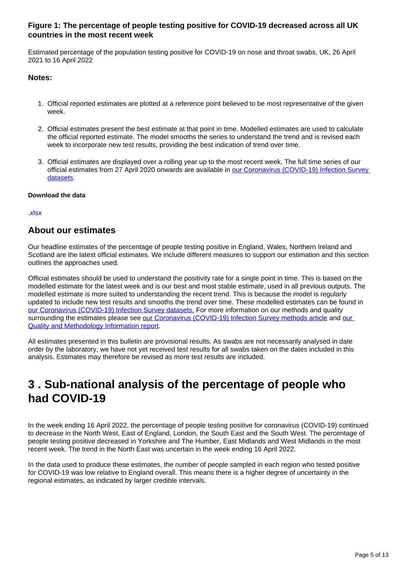#### **Figure 1: The percentage of people testing positive for COVID-19 decreased across all UK countries in the most recent week**

Estimated percentage of the population testing positive for COVID-19 on nose and throat swabs, UK, 26 April 2021 to 16 April 2022

#### **Notes:**

- 1. Official reported estimates are plotted at a reference point believed to be most representative of the given week.
- 2. Official estimates present the best estimate at that point in time. Modelled estimates are used to calculate the official reported estimate. The model smooths the series to understand the trend and is revised each week to incorporate new test results, providing the best indication of trend over time.
- 3. Official estimates are displayed over a rolling year up to the most recent week. The full time series of our official estimates from 27 April 2020 onwards are available in [our Coronavirus \(COVID-19\) Infection Survey](https://www.ons.gov.uk/peoplepopulationandcommunity/healthandsocialcare/conditionsanddiseases/bulletins/coronaviruscovid19infectionsurveypilot/22april2022/relateddata)  [datasets.](https://www.ons.gov.uk/peoplepopulationandcommunity/healthandsocialcare/conditionsanddiseases/bulletins/coronaviruscovid19infectionsurveypilot/22april2022/relateddata)

#### **Download the data**

#### [.xlsx](https://www.ons.gov.uk/visualisations/dvc1934/officialestimates/datadownload.xlsx)

### **About our estimates**

Our headline estimates of the percentage of people testing positive in England, Wales, Northern Ireland and Scotland are the latest official estimates. We include different measures to support our estimation and this section outlines the approaches used.

Official estimates should be used to understand the positivity rate for a single point in time. This is based on the modelled estimate for the latest week and is our best and most stable estimate, used in all previous outputs. The modelled estimate is more suited to understanding the recent trend. This is because the model is regularly updated to include new test results and smooths the trend over time. These modelled estimates can be found in [our Coronavirus \(COVID-19\) Infection Survey datasets.](https://www.ons.gov.uk/peoplepopulationandcommunity/healthandsocialcare/conditionsanddiseases/bulletins/coronaviruscovid19infectionsurveypilot/22april2022/relateddata) For more information on our methods and quality surrounding the estimates please see [our Coronavirus \(COVID-19\) Infection Survey methods article](https://www.ons.gov.uk/peoplepopulationandcommunity/healthandsocialcare/conditionsanddiseases/methodologies/covid19infectionsurveypilotmethodsandfurtherinformation) and [our](https://www.ons.gov.uk/peoplepopulationandcommunity/healthandsocialcare/conditionsanddiseases/methodologies/coronaviruscovid19infectionsurveyqmi)  [Quality and Methodology Information report.](https://www.ons.gov.uk/peoplepopulationandcommunity/healthandsocialcare/conditionsanddiseases/methodologies/coronaviruscovid19infectionsurveyqmi)

All estimates presented in this bulletin are provisional results. As swabs are not necessarily analysed in date order by the laboratory, we have not yet received test results for all swabs taken on the dates included in this analysis. Estimates may therefore be revised as more test results are included.

## <span id="page-4-0"></span>**3 . Sub-national analysis of the percentage of people who had COVID-19**

In the week ending 16 April 2022, the percentage of people testing positive for coronavirus (COVID-19) continued to decrease in the North West, East of England, London, the South East and the South West. The percentage of people testing positive decreased in Yorkshire and The Humber, East Midlands and West Midlands in the most recent week. The trend in the North East was uncertain in the week ending 16 April 2022.

In the data used to produce these estimates, the number of people sampled in each region who tested positive for COVID-19 was low relative to England overall. This means there is a higher degree of uncertainty in the regional estimates, as indicated by larger credible intervals.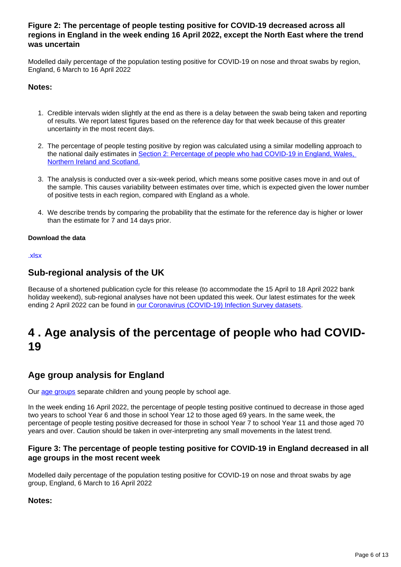#### **Figure 2: The percentage of people testing positive for COVID-19 decreased across all regions in England in the week ending 16 April 2022, except the North East where the trend was uncertain**

Modelled daily percentage of the population testing positive for COVID-19 on nose and throat swabs by region, England, 6 March to 16 April 2022

#### **Notes:**

- 1. Credible intervals widen slightly at the end as there is a delay between the swab being taken and reporting of results. We report latest figures based on the reference day for that week because of this greater uncertainty in the most recent days.
- 2. The percentage of people testing positive by region was calculated using a similar modelling approach to the national daily estimates in [Section 2: Percentage of people who had COVID-19 in England, Wales,](https://www.ons.gov.uk/peoplepopulationandcommunity/healthandsocialcare/conditionsanddiseases/bulletins/coronaviruscovid19infectionsurveypilot/22april2022#percentage-of-people-who-had-covid-19-in-uk-countries)  [Northern Ireland and Scotland.](https://www.ons.gov.uk/peoplepopulationandcommunity/healthandsocialcare/conditionsanddiseases/bulletins/coronaviruscovid19infectionsurveypilot/22april2022#percentage-of-people-who-had-covid-19-in-uk-countries)
- 3. The analysis is conducted over a six-week period, which means some positive cases move in and out of the sample. This causes variability between estimates over time, which is expected given the lower number of positive tests in each region, compared with England as a whole.
- 4. We describe trends by comparing the probability that the estimate for the reference day is higher or lower than the estimate for 7 and 14 days prior.

#### **Download the data**

[.xlsx](https://www.ons.gov.uk/visualisations/dvc1934/region/datadownload.xlsx)

### **Sub-regional analysis of the UK**

Because of a shortened publication cycle for this release (to accommodate the 15 April to 18 April 2022 bank holiday weekend), sub-regional analyses have not been updated this week. Our latest estimates for the week ending 2 April 2022 can be found in [our Coronavirus \(COVID-19\) Infection Survey datasets](https://www.ons.gov.uk/peoplepopulationandcommunity/healthandsocialcare/conditionsanddiseases/bulletins/coronaviruscovid19infectionsurveypilot/22april2022/relateddata).

## <span id="page-5-0"></span>**4 . Age analysis of the percentage of people who had COVID-19**

### **Age group analysis for England**

Our [age groups](http://www.ons.gov.uk/peoplepopulationandcommunity/healthandsocialcare/conditionsanddiseases/bulletins/coronaviruscovid19infectionsurveypilot/14april2022/#glossary) separate children and young people by school age.

In the week ending 16 April 2022, the percentage of people testing positive continued to decrease in those aged two years to school Year 6 and those in school Year 12 to those aged 69 years. In the same week, the percentage of people testing positive decreased for those in school Year 7 to school Year 11 and those aged 70 years and over. Caution should be taken in over-interpreting any small movements in the latest trend.

#### **Figure 3: The percentage of people testing positive for COVID-19 in England decreased in all age groups in the most recent week**

Modelled daily percentage of the population testing positive for COVID-19 on nose and throat swabs by age group, England, 6 March to 16 April 2022

#### **Notes:**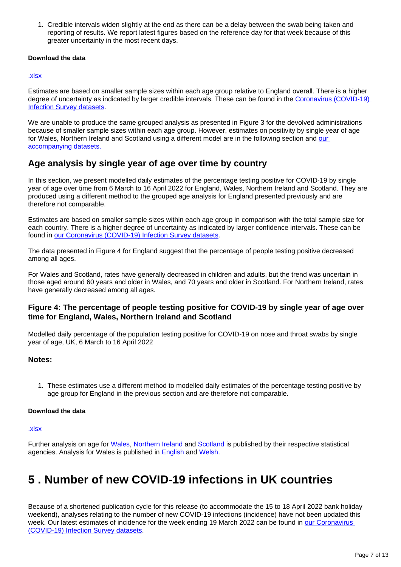1. Credible intervals widen slightly at the end as there can be a delay between the swab being taken and reporting of results. We report latest figures based on the reference day for that week because of this greater uncertainty in the most recent days.

#### **Download the data**

#### [.xlsx](https://www.ons.gov.uk/visualisations/dvc1934/age/datadownload.xlsx)

Estimates are based on smaller sample sizes within each age group relative to England overall. There is a higher degree of uncertainty as indicated by larger credible intervals. These can be found in the Coronavirus (COVID-19) [Infection Survey datasets](https://www.ons.gov.uk/peoplepopulationandcommunity/healthandsocialcare/conditionsanddiseases/bulletins/coronaviruscovid19infectionsurveypilot/22april2022/relateddata).

We are unable to produce the same grouped analysis as presented in Figure 3 for the devolved administrations because of smaller sample sizes within each age group. However, estimates on positivity by single year of age for Wales, Northern Ireland and Scotland using a different model are in the following section and our [accompanying datasets.](https://www.ons.gov.uk/peoplepopulationandcommunity/healthandsocialcare/conditionsanddiseases/bulletins/coronaviruscovid19infectionsurveypilot/22april2022/relateddata)

### **Age analysis by single year of age over time by country**

In this section, we present modelled daily estimates of the percentage testing positive for COVID-19 by single year of age over time from 6 March to 16 April 2022 for England, Wales, Northern Ireland and Scotland. They are produced using a different method to the grouped age analysis for England presented previously and are therefore not comparable.

Estimates are based on smaller sample sizes within each age group in comparison with the total sample size for each country. There is a higher degree of uncertainty as indicated by larger confidence intervals. These can be found in [our Coronavirus \(COVID-19\) Infection Survey datasets](https://www.ons.gov.uk/peoplepopulationandcommunity/healthandsocialcare/conditionsanddiseases/bulletins/coronaviruscovid19infectionsurveypilot/22april2022/relateddata).

The data presented in Figure 4 for England suggest that the percentage of people testing positive decreased among all ages.

For Wales and Scotland, rates have generally decreased in children and adults, but the trend was uncertain in those aged around 60 years and older in Wales, and 70 years and older in Scotland. For Northern Ireland, rates have generally decreased among all ages.

#### **Figure 4: The percentage of people testing positive for COVID-19 by single year of age over time for England, Wales, Northern Ireland and Scotland**

Modelled daily percentage of the population testing positive for COVID-19 on nose and throat swabs by single year of age, UK, 6 March to 16 April 2022

#### **Notes:**

1. These estimates use a different method to modelled daily estimates of the percentage testing positive by age group for England in the previous section and are therefore not comparable.

#### **Download the data**

#### [.xlsx](https://www.ons.gov.uk/visualisations/dvc1934/syoa/datadownload.xlsx)

Further analysis on age for [Wales,](https://gov.wales/coronavirus-covid-19-infection-survey-positivity-estimates) [Northern Ireland](https://www.health-ni.gov.uk/articles/covid-19-infection-survey) and [Scotland](https://www.gov.scot/collections/coronavirus-covid-19-infection-survey/) is published by their respective statistical agencies. Analysis for Wales is published in **English** and [Welsh](https://llyw.cymru/arolwg-heintiadau-coronafeirws-covid-19-amcangyfrifon-positifedd).

## <span id="page-6-0"></span>**5 . Number of new COVID-19 infections in UK countries**

Because of a shortened publication cycle for this release (to accommodate the 15 to 18 April 2022 bank holiday weekend), analyses relating to the number of new COVID-19 infections (incidence) have not been updated this week. Our latest estimates of incidence for the week ending 19 March 2022 can be found in our Coronavirus [\(COVID-19\) Infection Survey datasets.](https://www.ons.gov.uk/peoplepopulationandcommunity/healthandsocialcare/conditionsanddiseases/bulletins/coronaviruscovid19infectionsurveypilot/22april2022/relateddata)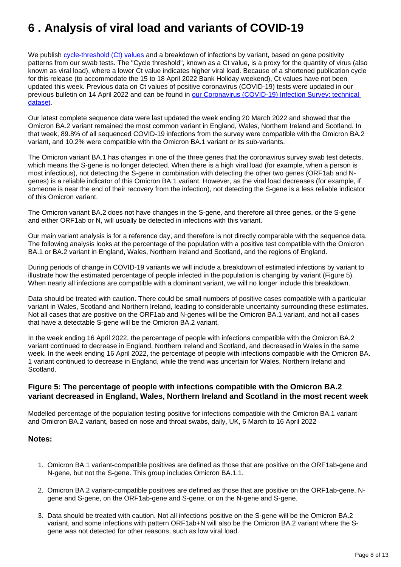## <span id="page-7-0"></span>**6 . Analysis of viral load and variants of COVID-19**

We publish [cycle-threshold \(Ct\) values](http://www.ons.gov.uk/peoplepopulationandcommunity/healthandsocialcare/conditionsanddiseases/bulletins/coronaviruscovid19infectionsurveypilot/22april2022/#glossary) and a breakdown of infections by variant, based on gene positivity patterns from our swab tests. The "Cycle threshold", known as a Ct value, is a proxy for the quantity of virus (also known as viral load), where a lower Ct value indicates higher viral load. Because of a shortened publication cycle for this release (to accommodate the 15 to 18 April 2022 Bank Holiday weekend), Ct values have not been updated this week. Previous data on Ct values of positive coronavirus (COVID-19) tests were updated in our previous bulletin on 14 April 2022 and can be found in our Coronavirus (COVID-19) Infection Survey: technical [dataset.](https://www.ons.gov.uk/peoplepopulationandcommunity/healthandsocialcare/conditionsanddiseases/datasets/covid19infectionsurveytechnicaldata)

Our latest complete sequence data were last updated the week ending 20 March 2022 and showed that the Omicron BA.2 variant remained the most common variant in England, Wales, Northern Ireland and Scotland. In that week, 89.8% of all sequenced COVID-19 infections from the survey were compatible with the Omicron BA.2 variant, and 10.2% were compatible with the Omicron BA.1 variant or its sub-variants.

The Omicron variant BA.1 has changes in one of the three genes that the coronavirus survey swab test detects, which means the S-gene is no longer detected. When there is a high viral load (for example, when a person is most infectious), not detecting the S-gene in combination with detecting the other two genes (ORF1ab and Ngenes) is a reliable indicator of this Omicron BA.1 variant. However, as the viral load decreases (for example, if someone is near the end of their recovery from the infection), not detecting the S-gene is a less reliable indicator of this Omicron variant.

The Omicron variant BA.2 does not have changes in the S-gene, and therefore all three genes, or the S-gene and either ORF1ab or N, will usually be detected in infections with this variant.

Our main variant analysis is for a reference day, and therefore is not directly comparable with the sequence data. The following analysis looks at the percentage of the population with a positive test compatible with the Omicron BA.1 or BA.2 variant in England, Wales, Northern Ireland and Scotland, and the regions of England.

During periods of change in COVID-19 variants we will include a breakdown of estimated infections by variant to illustrate how the estimated percentage of people infected in the population is changing by variant (Figure 5). When nearly all infections are compatible with a dominant variant, we will no longer include this breakdown.

Data should be treated with caution. There could be small numbers of positive cases compatible with a particular variant in Wales, Scotland and Northern Ireland, leading to considerable uncertainty surrounding these estimates. Not all cases that are positive on the ORF1ab and N-genes will be the Omicron BA.1 variant, and not all cases that have a detectable S-gene will be the Omicron BA.2 variant.

In the week ending 16 April 2022, the percentage of people with infections compatible with the Omicron BA.2 variant continued to decrease in England, Northern Ireland and Scotland, and decreased in Wales in the same week. In the week ending 16 April 2022, the percentage of people with infections compatible with the Omicron BA. 1 variant continued to decrease in England, while the trend was uncertain for Wales, Northern Ireland and Scotland.

#### **Figure 5: The percentage of people with infections compatible with the Omicron BA.2 variant decreased in England, Wales, Northern Ireland and Scotland in the most recent week**

Modelled percentage of the population testing positive for infections compatible with the Omicron BA.1 variant and Omicron BA.2 variant, based on nose and throat swabs, daily, UK, 6 March to 16 April 2022

#### **Notes:**

- 1. Omicron BA.1 variant-compatible positives are defined as those that are positive on the ORF1ab-gene and N-gene, but not the S-gene. This group includes Omicron BA.1.1.
- 2. Omicron BA.2 variant-compatible positives are defined as those that are positive on the ORF1ab-gene, Ngene and S-gene, on the ORF1ab-gene and S-gene, or on the N-gene and S-gene.
- 3. Data should be treated with caution. Not all infections positive on the S-gene will be the Omicron BA.2 variant, and some infections with pattern ORF1ab+N will also be the Omicron BA.2 variant where the Sgene was not detected for other reasons, such as low viral load.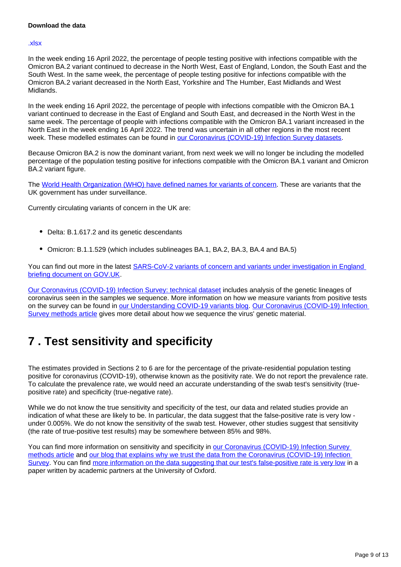#### **Download the data**

#### [.xlsx](https://www.ons.gov.uk/visualisations/dvc1934/variantsuk/datadownload.xlsx)

In the week ending 16 April 2022, the percentage of people testing positive with infections compatible with the Omicron BA.2 variant continued to decrease in the North West, East of England, London, the South East and the South West. In the same week, the percentage of people testing positive for infections compatible with the Omicron BA.2 variant decreased in the North East, Yorkshire and The Humber, East Midlands and West Midlands.

In the week ending 16 April 2022, the percentage of people with infections compatible with the Omicron BA.1 variant continued to decrease in the East of England and South East, and decreased in the North West in the same week. The percentage of people with infections compatible with the Omicron BA.1 variant increased in the North East in the week ending 16 April 2022. The trend was uncertain in all other regions in the most recent week. These modelled estimates can be found in [our Coronavirus \(COVID-19\) Infection Survey datasets](http://www.ons.gov.uk/peoplepopulationandcommunity/healthandsocialcare/conditionsanddiseases/bulletins/coronaviruscovid19infectionsurveypilot/22april2022/relateddata).

Because Omicron BA.2 is now the dominant variant, from next week we will no longer be including the modelled percentage of the population testing positive for infections compatible with the Omicron BA.1 variant and Omicron BA.2 variant figure.

The [World Health Organization \(WHO\) have defined names for variants of concern.](https://www.who.int/en/activities/tracking-SARS-CoV-2-variants/) These are variants that the UK government has under surveillance.

Currently circulating variants of concern in the UK are:

- Delta: B.1.617.2 and its genetic descendants
- Omicron: B.1.1.529 (which includes sublineages BA.1, BA.2, BA.3, BA.4 and BA.5)

You can find out more in the latest **SARS-CoV-2 variants of concern and variants under investigation in England** [briefing document on GOV.UK](https://www.gov.uk/government/publications/investigation-of-sars-cov-2-variants-technical-briefings).

[Our Coronavirus \(COVID-19\) Infection Survey: technical dataset](https://www.ons.gov.uk/peoplepopulationandcommunity/healthandsocialcare/conditionsanddiseases/datasets/covid19infectionsurveytechnicaldata) includes analysis of the genetic lineages of coronavirus seen in the samples we sequence. More information on how we measure variants from positive tests on the survey can be found in [our Understanding COVID-19 variants blog](https://blog.ons.gov.uk/2021/05/28/understanding-covid-19-variants-what-can-the-coronavirus-infection-survey-tell-us). [Our Coronavirus \(COVID-19\) Infection](https://www.ons.gov.uk/peoplepopulationandcommunity/healthandsocialcare/conditionsanddiseases/methodologies/covid19infectionsurveypilotmethodsandfurtherinformation)  [Survey methods article](https://www.ons.gov.uk/peoplepopulationandcommunity/healthandsocialcare/conditionsanddiseases/methodologies/covid19infectionsurveypilotmethodsandfurtherinformation) gives more detail about how we sequence the virus' genetic material.

## <span id="page-8-0"></span>**7 . Test sensitivity and specificity**

The estimates provided in Sections 2 to 6 are for the percentage of the private-residential population testing positive for coronavirus (COVID-19), otherwise known as the positivity rate. We do not report the prevalence rate. To calculate the prevalence rate, we would need an accurate understanding of the swab test's sensitivity (truepositive rate) and specificity (true-negative rate).

While we do not know the true sensitivity and specificity of the test, our data and related studies provide an indication of what these are likely to be. In particular, the data suggest that the false-positive rate is very low under 0.005%. We do not know the sensitivity of the swab test. However, other studies suggest that sensitivity (the rate of true-positive test results) may be somewhere between 85% and 98%.

You can find more information on sensitivity and specificity in our Coronavirus (COVID-19) Infection Survey [methods article](https://www.ons.gov.uk/peoplepopulationandcommunity/healthandsocialcare/conditionsanddiseases/methodologies/covid19infectionsurveypilotmethodsandfurtherinformation#test-sensitivity-and-specificity) and [our blog that explains why we trust the data from the Coronavirus \(COVID-19\) Infection](https://blog.ons.gov.uk/2021/04/09/accuracy-and-confidence-why-we-trust-the-data-from-the-covid-19-infection-survey/)  [Survey](https://blog.ons.gov.uk/2021/04/09/accuracy-and-confidence-why-we-trust-the-data-from-the-covid-19-infection-survey/). You can find [more information on the data suggesting that our test's false-positive rate is very low](https://www.medrxiv.org/content/10.1101/2020.10.25.20219048v2) in a paper written by academic partners at the University of Oxford.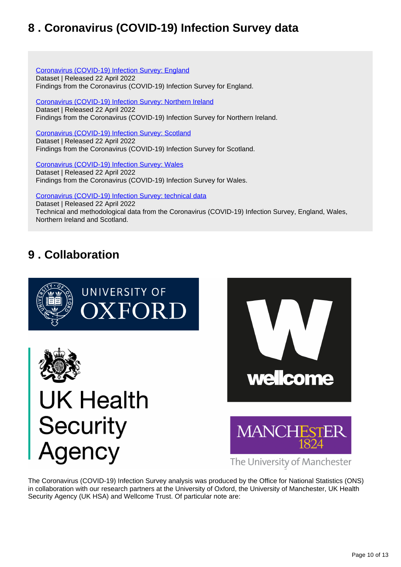## <span id="page-9-0"></span>**8 . Coronavirus (COVID-19) Infection Survey data**

[Coronavirus \(COVID-19\) Infection Survey: England](https://www.ons.gov.uk/peoplepopulationandcommunity/healthandsocialcare/conditionsanddiseases/datasets/coronaviruscovid19infectionsurveydata) Dataset | Released 22 April 2022 Findings from the Coronavirus (COVID-19) Infection Survey for England.

[Coronavirus \(COVID-19\) Infection Survey: Northern Ireland](https://www.ons.gov.uk/peoplepopulationandcommunity/healthandsocialcare/conditionsanddiseases/datasets/covid19infectionsurveynorthernireland) Dataset | Released 22 April 2022 Findings from the Coronavirus (COVID-19) Infection Survey for Northern Ireland.

[Coronavirus \(COVID-19\) Infection Survey: Scotland](https://www.ons.gov.uk/peoplepopulationandcommunity/healthandsocialcare/conditionsanddiseases/datasets/covid19infectionsurveyscotland) Dataset | Released 22 April 2022 Findings from the Coronavirus (COVID-19) Infection Survey for Scotland.

[Coronavirus \(COVID-19\) Infection Survey: Wales](https://www.ons.gov.uk/peoplepopulationandcommunity/healthandsocialcare/conditionsanddiseases/datasets/covid19infectionsurveywales) Dataset | Released 22 April 2022 Findings from the Coronavirus (COVID-19) Infection Survey for Wales.

[Coronavirus \(COVID-19\) Infection Survey: technical data](https://www.ons.gov.uk/peoplepopulationandcommunity/healthandsocialcare/conditionsanddiseases/datasets/covid19infectionsurveytechnicaldata)

Dataset | Released 22 April 2022 Technical and methodological data from the Coronavirus (COVID-19) Infection Survey, England, Wales, Northern Ireland and Scotland.

## <span id="page-9-1"></span>**9 . Collaboration**









The University of Manchester

The Coronavirus (COVID-19) Infection Survey analysis was produced by the Office for National Statistics (ONS) in collaboration with our research partners at the University of Oxford, the University of Manchester, UK Health Security Agency (UK HSA) and Wellcome Trust. Of particular note are: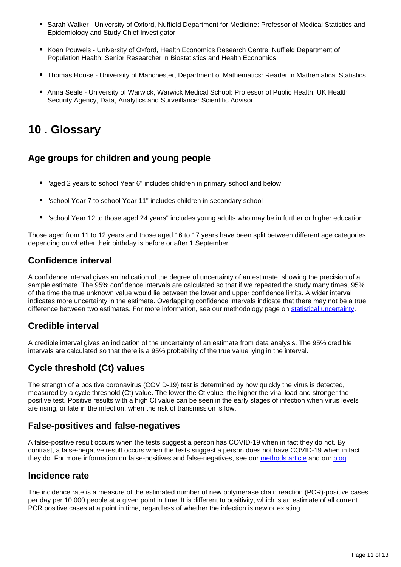- Sarah Walker University of Oxford, Nuffield Department for Medicine: Professor of Medical Statistics and Epidemiology and Study Chief Investigator
- Koen Pouwels University of Oxford, Health Economics Research Centre, Nuffield Department of Population Health: Senior Researcher in Biostatistics and Health Economics
- Thomas House University of Manchester, Department of Mathematics: Reader in Mathematical Statistics
- Anna Seale University of Warwick, Warwick Medical School: Professor of Public Health; UK Health Security Agency, Data, Analytics and Surveillance: Scientific Advisor

## <span id="page-10-0"></span>**10 . Glossary**

## **Age groups for children and young people**

- "aged 2 years to school Year 6" includes children in primary school and below
- "school Year 7 to school Year 11" includes children in secondary school
- "school Year 12 to those aged 24 years" includes young adults who may be in further or higher education

Those aged from 11 to 12 years and those aged 16 to 17 years have been split between different age categories depending on whether their birthday is before or after 1 September.

### **Confidence interval**

A confidence interval gives an indication of the degree of uncertainty of an estimate, showing the precision of a sample estimate. The 95% confidence intervals are calculated so that if we repeated the study many times, 95% of the time the true unknown value would lie between the lower and upper confidence limits. A wider interval indicates more uncertainty in the estimate. Overlapping confidence intervals indicate that there may not be a true difference between two estimates. For more information, see our methodology page on [statistical uncertainty](https://www.ons.gov.uk/methodology/methodologytopicsandstatisticalconcepts/uncertaintyandhowwemeasureit).

### **Credible interval**

A credible interval gives an indication of the uncertainty of an estimate from data analysis. The 95% credible intervals are calculated so that there is a 95% probability of the true value lying in the interval.

## **Cycle threshold (Ct) values**

The strength of a positive coronavirus (COVID-19) test is determined by how quickly the virus is detected, measured by a cycle threshold (Ct) value. The lower the Ct value, the higher the viral load and stronger the positive test. Positive results with a high Ct value can be seen in the early stages of infection when virus levels are rising, or late in the infection, when the risk of transmission is low.

### **False-positives and false-negatives**

A false-positive result occurs when the tests suggest a person has COVID-19 when in fact they do not. By contrast, a false-negative result occurs when the tests suggest a person does not have COVID-19 when in fact they do. For more information on false-positives and false-negatives, see our [methods article](https://www.ons.gov.uk/peoplepopulationandcommunity/healthandsocialcare/conditionsanddiseases/methodologies/covid19infectionsurveypilotmethodsandfurtherinformation#test-sensitivity-and-specificity) and our [blog](https://blog.ons.gov.uk/2021/04/09/accuracy-and-confidence-why-we-trust-the-data-from-the-covid-19-infection-survey/).

### **Incidence rate**

The incidence rate is a measure of the estimated number of new polymerase chain reaction (PCR)-positive cases per day per 10,000 people at a given point in time. It is different to positivity, which is an estimate of all current PCR positive cases at a point in time, regardless of whether the infection is new or existing.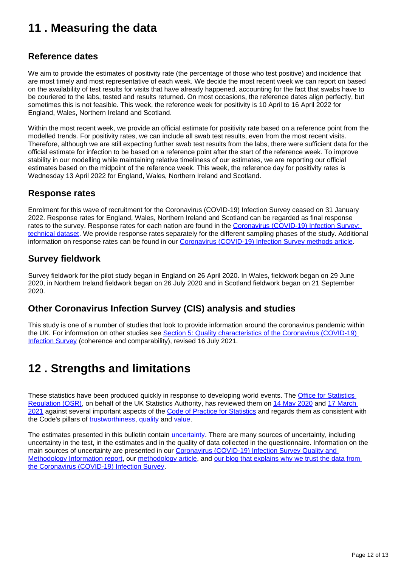## <span id="page-11-0"></span>**11 . Measuring the data**

### **Reference dates**

We aim to provide the estimates of positivity rate (the percentage of those who test positive) and incidence that are most timely and most representative of each week. We decide the most recent week we can report on based on the availability of test results for visits that have already happened, accounting for the fact that swabs have to be couriered to the labs, tested and results returned. On most occasions, the reference dates align perfectly, but sometimes this is not feasible. This week, the reference week for positivity is 10 April to 16 April 2022 for England, Wales, Northern Ireland and Scotland.

Within the most recent week, we provide an official estimate for positivity rate based on a reference point from the modelled trends. For positivity rates, we can include all swab test results, even from the most recent visits. Therefore, although we are still expecting further swab test results from the labs, there were sufficient data for the official estimate for infection to be based on a reference point after the start of the reference week. To improve stability in our modelling while maintaining relative timeliness of our estimates, we are reporting our official estimates based on the midpoint of the reference week. This week, the reference day for positivity rates is Wednesday 13 April 2022 for England, Wales, Northern Ireland and Scotland.

### **Response rates**

Enrolment for this wave of recruitment for the Coronavirus (COVID-19) Infection Survey ceased on 31 January 2022. Response rates for England, Wales, Northern Ireland and Scotland can be regarded as final response rates to the survey. Response rates for each nation are found in the [Coronavirus \(COVID-19\) Infection Survey:](https://www.ons.gov.uk/peoplepopulationandcommunity/healthandsocialcare/conditionsanddiseases/datasets/covid19infectionsurveytechnicaldata)  [technical dataset.](https://www.ons.gov.uk/peoplepopulationandcommunity/healthandsocialcare/conditionsanddiseases/datasets/covid19infectionsurveytechnicaldata) We provide response rates separately for the different sampling phases of the study. Additional information on response rates can be found in our [Coronavirus \(COVID-19\) Infection Survey methods article.](https://www.ons.gov.uk/peoplepopulationandcommunity/healthandsocialcare/conditionsanddiseases/methodologies/covid19infectionsurveypilotmethodsandfurtherinformation#study-design-sampling)

### **Survey fieldwork**

Survey fieldwork for the pilot study began in England on 26 April 2020. In Wales, fieldwork began on 29 June 2020, in Northern Ireland fieldwork began on 26 July 2020 and in Scotland fieldwork began on 21 September 2020.

### **Other Coronavirus Infection Survey (CIS) analysis and studies**

This study is one of a number of studies that look to provide information around the coronavirus pandemic within the UK. For information on other studies see Section 5: Quality characteristics of the Coronavirus (COVID-19) [Infection Survey](https://www.ons.gov.uk/peoplepopulationandcommunity/healthandsocialcare/conditionsanddiseases/methodologies/coronaviruscovid19infectionsurveyqmi#quality-characteristics-of-the-coronavirus-covid-19-infection-survey) (coherence and comparability), revised 16 July 2021.

## <span id="page-11-1"></span>**12 . Strengths and limitations**

These statistics have been produced quickly in response to developing world events. The **Office for Statistics** [Regulation \(OSR\)](https://osr.statisticsauthority.gov.uk/), on behalf of the UK Statistics Authority, has reviewed them on [14 May 2020](https://osr.statisticsauthority.gov.uk/correspondence/review-of-coronavirus-covid-19-infection-survey/) and [17 March](https://osr.statisticsauthority.gov.uk/correspondence/ed-humpherson-to-iain-bell-ons-covid-19-infection-survey-statistics/)  [2021](https://osr.statisticsauthority.gov.uk/correspondence/ed-humpherson-to-iain-bell-ons-covid-19-infection-survey-statistics/) against several important aspects of the [Code of Practice for Statistics](https://code.statisticsauthority.gov.uk/the-code/) and regards them as consistent with the Code's pillars of [trustworthiness,](https://code.statisticsauthority.gov.uk/the-code/trustworthiness/) [quality](https://code.statisticsauthority.gov.uk/the-code/quality/) and [value.](https://code.statisticsauthority.gov.uk/the-code/value/)

The estimates presented in this bulletin contain *[uncertainty](https://www.ons.gov.uk/methodology/methodologytopicsandstatisticalconcepts/uncertaintyandhowwemeasureit)*. There are many sources of uncertainty, including uncertainty in the test, in the estimates and in the quality of data collected in the questionnaire. Information on the main sources of uncertainty are presented in our Coronavirus (COVID-19) Infection Survey Quality and [Methodology Information report,](https://www.ons.gov.uk/peoplepopulationandcommunity/healthandsocialcare/conditionsanddiseases/methodologies/coronaviruscovid19infectionsurveyqmi) our [methodology article,](https://www.ons.gov.uk/peoplepopulationandcommunity/healthandsocialcare/conditionsanddiseases/methodologies/covid19infectionsurveypilotmethodsandfurtherinformation) and [our blog that explains why we trust the data from](https://blog.ons.gov.uk/2021/04/09/accuracy-and-confidence-why-we-trust-the-data-from-the-covid-19-infection-survey/)  [the Coronavirus \(COVID-19\) Infection Survey](https://blog.ons.gov.uk/2021/04/09/accuracy-and-confidence-why-we-trust-the-data-from-the-covid-19-infection-survey/).